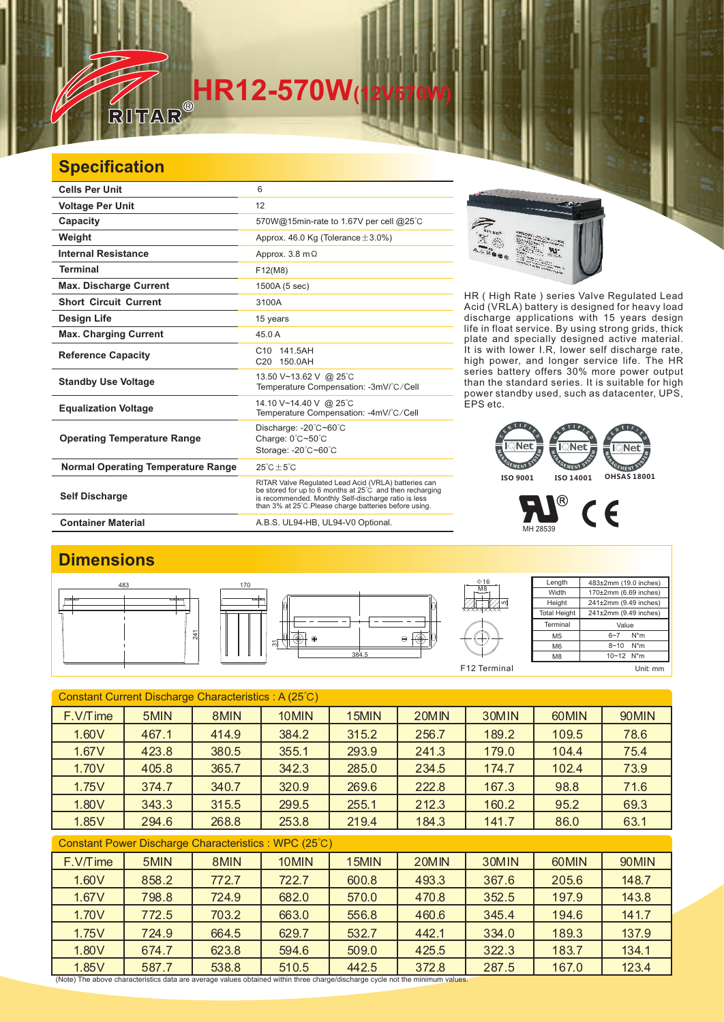# **HR12-570W**

### **Specification**

一

| <b>Cells Per Unit</b>                     | 6                                                                                                                                                                                                                                  |  |  |  |
|-------------------------------------------|------------------------------------------------------------------------------------------------------------------------------------------------------------------------------------------------------------------------------------|--|--|--|
| <b>Voltage Per Unit</b>                   | 12                                                                                                                                                                                                                                 |  |  |  |
| Capacity                                  | 570W@15min-rate to 1.67V per cell @25°C                                                                                                                                                                                            |  |  |  |
| Weight                                    | Approx. 46.0 Kg (Tolerance $\pm$ 3.0%)                                                                                                                                                                                             |  |  |  |
| <b>Internal Resistance</b>                | Approx. 3.8 m $\Omega$                                                                                                                                                                                                             |  |  |  |
| <b>Terminal</b>                           | F12(M8)                                                                                                                                                                                                                            |  |  |  |
| <b>Max. Discharge Current</b>             | 1500A (5 sec)                                                                                                                                                                                                                      |  |  |  |
| <b>Short Circuit Current</b>              | 3100A                                                                                                                                                                                                                              |  |  |  |
| Design Life                               | 15 years                                                                                                                                                                                                                           |  |  |  |
| <b>Max. Charging Current</b>              | 45.0A                                                                                                                                                                                                                              |  |  |  |
| <b>Reference Capacity</b>                 | C <sub>10</sub> 141.5AH<br>C20 150.0AH                                                                                                                                                                                             |  |  |  |
| <b>Standby Use Voltage</b>                | 13.50 V~13.62 V @ 25°C<br>Temperature Compensation: -3mV/°C/Cell                                                                                                                                                                   |  |  |  |
| <b>Equalization Voltage</b>               | 14.10 V~14.40 V @ 25°C<br>Temperature Compensation: -4mV/°C/Cell                                                                                                                                                                   |  |  |  |
| <b>Operating Temperature Range</b>        | Discharge: - 20°C~60°C<br>Charge: 0°C~50°C<br>Storage: -20°C~60°C                                                                                                                                                                  |  |  |  |
| <b>Normal Operating Temperature Range</b> | $25^{\circ}$ C + $5^{\circ}$ C                                                                                                                                                                                                     |  |  |  |
| <b>Self Discharge</b>                     | RITAR Valve Regulated Lead Acid (VRLA) batteries can<br>be stored for up to 6 months at 25°C and then recharging<br>is recommended. Monthly Self-discharge ratio is less<br>than 3% at 25°C. Please charge batteries before using. |  |  |  |
| <b>Container Material</b>                 | A.B.S. UL94-HB, UL94-V0 Optional.                                                                                                                                                                                                  |  |  |  |



HR ( High Rate ) series Valve Regulated Lead Acid (VRLA) battery is designed for heavy load discharge applications with 15 years design life in float service. By using strong grids, and specially designed active material. It is with lower I.R, lower self discharge rate, high power, and longer service life. The HR series battery offers 30% more power output than the standard series. It is suitable for high power standby used, such as datacenter, UPS, EPS etc. thick plate

#### EMENT EMENT **EMENT ISO 9001 ISO 14001 OHSAS 18001**

 $\circledR$  $C<sub>6</sub>$ MH 28539

#### **Dimensions**



| Constant Current Discharge Characteristics: A (25°C) |       |                                                                                                                                       |       |       |       |       |       |       |  |
|------------------------------------------------------|-------|---------------------------------------------------------------------------------------------------------------------------------------|-------|-------|-------|-------|-------|-------|--|
| $F.V/T$ ime                                          | 5MIN  | 8MIN                                                                                                                                  | 10MIN | 15MIN | 20MIN | 30MIN | 60MIN | 90MIN |  |
| 1.60V                                                | 467.1 | 414.9                                                                                                                                 | 384.2 | 315.2 | 256.7 | 189.2 | 109.5 | 78.6  |  |
| 1.67V                                                | 423.8 | 380.5                                                                                                                                 | 355.1 | 293.9 | 241.3 | 179.0 | 104.4 | 75.4  |  |
| 1.70V                                                | 405.8 | 365.7                                                                                                                                 | 342.3 | 285.0 | 234.5 | 174.7 | 102.4 | 73.9  |  |
| 1.75V                                                | 374.7 | 340.7                                                                                                                                 | 320.9 | 269.6 | 222.8 | 167.3 | 98.8  | 71.6  |  |
| 1.80V                                                | 343.3 | 315.5                                                                                                                                 | 299.5 | 255.1 | 212.3 | 160.2 | 95.2  | 69.3  |  |
| 1.85V                                                | 294.6 | 268.8                                                                                                                                 | 253.8 | 219.4 | 184.3 | 141.7 | 86.0  | 63.1  |  |
| Constant Power Discharge Characteristics: WPC (25°C) |       |                                                                                                                                       |       |       |       |       |       |       |  |
| F.V/Time                                             | 5MIN  | 8MIN                                                                                                                                  | 10MIN | 15MIN | 20MIN | 30MIN | 60MIN | 90MIN |  |
| 1.60V                                                | 858.2 | 772.7                                                                                                                                 | 722.7 | 600.8 | 493.3 | 367.6 | 205.6 | 148.7 |  |
| 1.67V                                                | 798.8 | 724.9                                                                                                                                 | 682.0 | 570.0 | 470.8 | 352.5 | 197.9 | 143.8 |  |
| 1.70V                                                | 772.5 | 703.2                                                                                                                                 | 663.0 | 556.8 | 460.6 | 345.4 | 194.6 | 141.7 |  |
| 1.75V                                                | 724.9 | 664.5                                                                                                                                 | 629.7 | 532.7 | 442.1 | 334.0 | 189.3 | 137.9 |  |
| 1.80V                                                | 674.7 | 623.8                                                                                                                                 | 594.6 | 509.0 | 425.5 | 322.3 | 183.7 | 134.1 |  |
| 1.85V                                                | 587.7 | 538.8<br>(Note) The above characteristics data are average values obtained within three charge/discharge cycle not the minimum values | 510.5 | 442.5 | 372.8 | 287.5 | 167.0 | 123.4 |  |

(Note) The above characteristics data are average values obtained within three charge/discharge cycle not the minimum values.